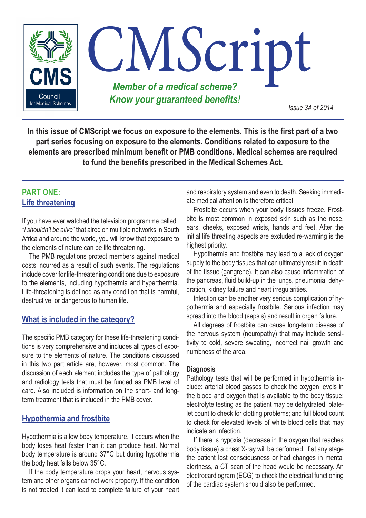

**In this issue of CMScript we focus on exposure to the elements. This is the first part of a two part series focusing on exposure to the elements. Conditions related to exposure to the elements are prescribed minimum benefit or PMB conditions. Medical schemes are required to fund the benefits prescribed in the Medical Schemes Act.**

# **PART ONE: Life threatening**

If you have ever watched the television programme called *"I shouldn't be alive*" that aired on multiple networks in South Africa and around the world, you will know that exposure to the elements of nature can be life threatening.

The PMB regulations protect members against medical costs incurred as a result of such events. The regulations include cover for life-threatening conditions due to exposure to the elements, including hypothermia and hyperthermia. Life-threatening is defined as any condition that is harmful, destructive, or dangerous to human life.

# **What is included in the category?**

The specific PMB category for these life-threatening conditions is very comprehensive and includes all types of exposure to the elements of nature. The conditions discussed in this two part article are, however, most common. The discussion of each element includes the type of pathology and radiology tests that must be funded as PMB level of care. Also included is information on the short- and longterm treatment that is included in the PMB cover.

# **Hypothermia and frostbite**

Hypothermia is a low body temperature. It occurs when the body loses heat faster than it can produce heat. Normal body temperature is around 37°C but during hypothermia the body heat falls below 35°C.

If the body temperature drops your heart, nervous system and other organs cannot work properly. If the condition is not treated it can lead to complete failure of your heart and respiratory system and even to death. Seeking immediate medical attention is therefore critical.

Frostbite occurs when your body tissues freeze. Frostbite is most common in exposed skin such as the nose, ears, cheeks, exposed wrists, hands and feet. After the initial life threating aspects are excluded re-warming is the highest priority.

Hypothermia and frostbite may lead to a lack of oxygen supply to the body tissues that can ultimately result in death of the tissue (gangrene). It can also cause inflammation of the pancreas, fluid build-up in the lungs, pneumonia, dehydration, kidney failure and heart irregularities.

Infection can be another very serious complication of hypothermia and especially frostbite. Serious infection may spread into the blood (sepsis) and result in organ failure.

All degrees of frostbite can cause long-term disease of the nervous system (neuropathy) that may include sensitivity to cold, severe sweating, incorrect nail growth and numbness of the area.

## **Diagnosis**

Pathology tests that will be performed in hypothermia include: arterial blood gasses to check the oxygen levels in the blood and oxygen that is available to the body tissue; electrolyte testing as the patient may be dehydrated; platelet count to check for clotting problems; and full blood count to check for elevated levels of white blood cells that may indicate an infection.

If there is hypoxia (decrease in the oxygen that reaches body tissue) a chest X-ray will be performed. If at any stage the patient lost consciousness or had changes in mental alertness, a CT scan of the head would be necessary. An electrocardiogram (ECG) to check the electrical functioning of the cardiac system should also be performed.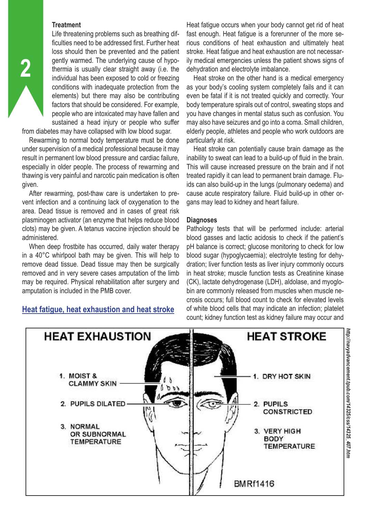#### **Treatment**

**2**

Life threatening problems such as breathing difficulties need to be addressed first. Further heat loss should then be prevented and the patient gently warmed. The underlying cause of hypothermia is usually clear straight away (i.e. the individual has been exposed to cold or freezing conditions with inadequate protection from the elements) but there may also be contributing factors that should be considered. For example, people who are intoxicated may have fallen and sustained a head injury or people who suffer

from diabetes may have collapsed with low blood sugar.

Rewarming to normal body temperature must be done under supervision of a medical professional because it may result in permanent low blood pressure and cardiac failure, especially in older people. The process of rewarming and thawing is very painful and narcotic pain medication is often given.

After rewarming, post-thaw care is undertaken to prevent infection and a continuing lack of oxygenation to the area. Dead tissue is removed and in cases of great risk plasminogen activator (an enzyme that helps reduce blood clots) may be given. A tetanus vaccine injection should be administered.

When deep frostbite has occurred, daily water therapy in a 40°C whirlpool bath may be given. This will help to remove dead tissue. Dead tissue may then be surgically removed and in very severe cases amputation of the limb may be required. Physical rehabilitation after surgery and amputation is included in the PMB cover.

# **Heat fatigue, heat exhaustion and heat stroke**

Heat fatigue occurs when your body cannot get rid of heat fast enough. Heat fatigue is a forerunner of the more serious conditions of heat exhaustion and ultimately heat stroke. Heat fatigue and heat exhaustion are not necessarily medical emergencies unless the patient shows signs of dehydration and electrolyte imbalance.

Heat stroke on the other hand is a medical emergency as your body's cooling system completely fails and it can even be fatal if it is not treated quickly and correctly. Your body temperature spirals out of control, sweating stops and you have changes in mental status such as confusion. You may also have seizures and go into a coma. Small children, elderly people, athletes and people who work outdoors are particularly at risk.

Heat stroke can potentially cause brain damage as the inability to sweat can lead to a build-up of fluid in the brain. This will cause increased pressure on the brain and if not treated rapidly it can lead to permanent brain damage. Fluids can also build-up in the lungs (pulmonary oedema) and cause acute respiratory failure. Fluid build-up in other organs may lead to kidney and heart failure.

#### **Diagnoses**

Pathology tests that will be performed include: arterial blood gasses and lactic acidosis to check if the patient's pH balance is correct; glucose monitoring to check for low blood sugar (hypoglycaemia); electrolyte testing for dehydration; liver function tests as liver injury commonly occurs in heat stroke; muscle function tests as Creatinine kinase (CK), lactate dehydrogenase (LDH), aldolase, and myoglobin are commonly released from muscles when muscle necrosis occurs; full blood count to check for elevated levels of white blood cells that may indicate an infection; platelet count; kidney function test as kidney failure may occur and

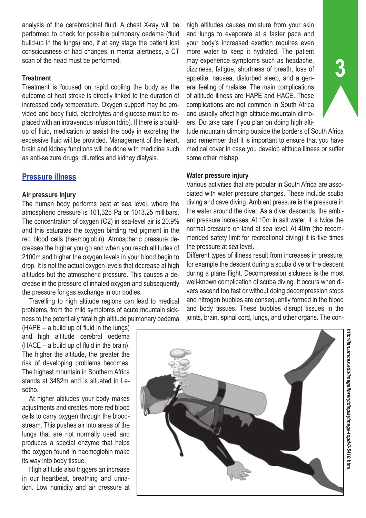analysis of the cerebrospinal fluid. A chest X-ray will be performed to check for possible pulmonary oedema (fluid build-up in the lungs) and, if at any stage the patient lost consciousness or had changes in mental alertness, a CT scan of the head must be performed.

#### **Treatment**

Treatment is focused on rapid cooling the body as the outcome of heat stroke is directly linked to the duration of increased body temperature. Oxygen support may be provided and body fluid, electrolytes and glucose must be replaced with an intravenous infusion (drip). If there is a buildup of fluid, medication to assist the body in excreting the excessive fluid will be provided. Management of the heart, brain and kidney functions will be done with medicine such as anti-seizure drugs, diuretics and kidney dialysis.

# **Pressure illness**

#### **Air pressure injury**

The human body performs best at sea level, where the atmospheric pressure is 101,325 Pa or 1013.25 millibars. The concentration of oxygen (O2) in sea-level air is 20.9% and this saturates the oxygen binding red pigment in the red blood cells (haemoglobin). Atmospheric pressure decreases the higher you go and when you reach altitudes of 2100m and higher the oxygen levels in your blood begin to drop. It is not the actual oxygen levels that decrease at high altitudes but the atmospheric pressure. This causes a decrease in the pressure of inhaled oxygen and subsequently the pressure for gas exchange in our bodies.

Travelling to high altitude regions can lead to medical problems, from the mild symptoms of acute mountain sickness to the potentially fatal high altitude pulmonary oedema

(HAPE – a build up of fluid in the lungs) and high altitude cerebral oedema (HACE – a build up of fluid in the brain). The higher the altitude, the greater the risk of developing problems becomes. The highest mountain in Southern Africa stands at 3482m and is situated in Lesotho.

At higher altitudes your body makes adjustments and creates more red blood cells to carry oxygen through the bloodstream. This pushes air into areas of the lungs that are not normally used and produces a special enzyme that helps the oxygen found in haemoglobin make its way into body tissue.

High altitude also triggers an increase in our heartbeat, breathing and urination. Low humidity and air pressure at

high altitudes causes moisture from your skin and lungs to evaporate at a faster pace and your body's increased exertion requires even more water to keep it hydrated. The patient may experience symptoms such as headache, dizziness, fatigue, shortness of breath, loss of appetite, nausea, disturbed sleep, and a general feeling of malaise. The main complications of altitude illness are HAPE and HACE. These complications are not common in South Africa and usually affect high altitude mountain climbers. Do take care if you plan on doing high alti-

tude mountain climbing outside the borders of South Africa and remember that it is important to ensure that you have medical cover in case you develop altitude illness or suffer some other mishap.

#### **Water pressure injury**

Various activities that are popular in South Africa are associated with water pressure changes. These include scuba diving and cave diving. Ambient pressure is the pressure in the water around the diver. As a diver descends, the ambient pressure increases. At 10m in salt water, it is twice the normal pressure on land at sea level. At 40m (the recommended safety limit for recreational diving) it is five times the pressure at sea level.

Different types of illness result from increases in pressure, for example the descent during a scuba dive or the descent during a plane flight. Decompression sickness is the most well-known complication of scuba diving. It occurs when divers ascend too fast or without doing decompression stops and nitrogen bubbles are consequently formed in the blood and body tissues. These bubbles disrupt tissues in the joints, brain, spinal cord, lungs, and other organs. The con-



**3**